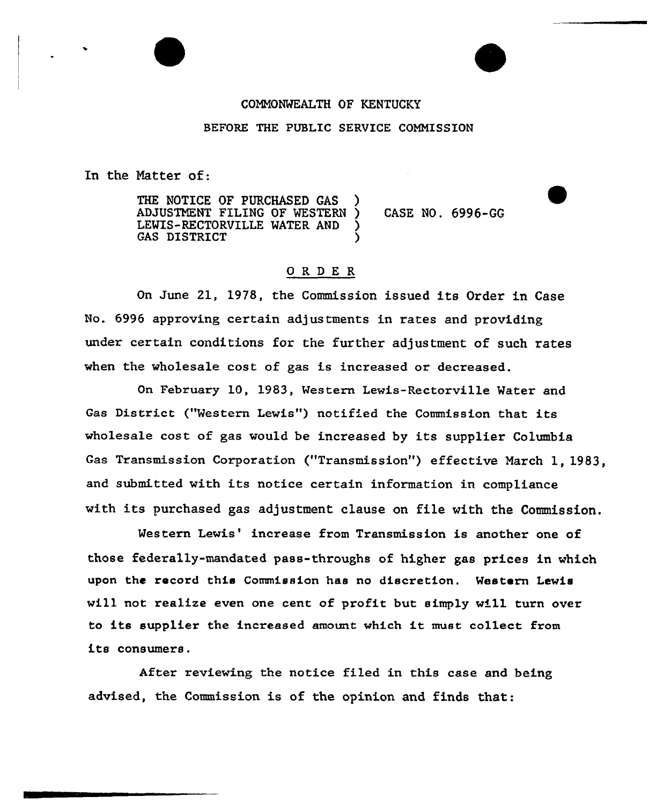## COMNONWEALTH OF KENTUCKY BEFORE THE PUBLIC SERVICE COMMISSION

In the Natter of:

THE NOTICE OF PURCHASED GAS ADJUSTMENT FILING OF WESTERN } CASE NO. 6996-GG LEWIS-RECTORVILLE WATER AND GAS DISTRICT

## ORDER

On June 21, 1978, the Commission issued its Order in Case No. 6996 appxoving cextain adjustments in rates and providing under certain conditions for the further adjustment of such rates when the wholesale cost of gas is increased or decreased.

On February 10, 1983, Western Lewis-Rectorville Water and Gas District ("Western Lewis") notified the Commission that its wholesale cost of gas would be increased by its supplier Columbia Gas Transmission Corporation ("Transmission"} effective March 1, 1983, and submitted with its notice cextain information in compliance with its purchased gas adjustment clause on file with the Commission.

Western Lewis' increase from Transmission is another one of those federally-mandated pass-throughs of higher gas prices in which upon the record this Commission has no discretion. Western Lewis vill not realize even one cent of profit but simply will turn over to its supplier the increased amount which it must co11ect from its consumers.

After xeviewing the notice filed in this case and being advised, the Commission is of the opinion and finds that: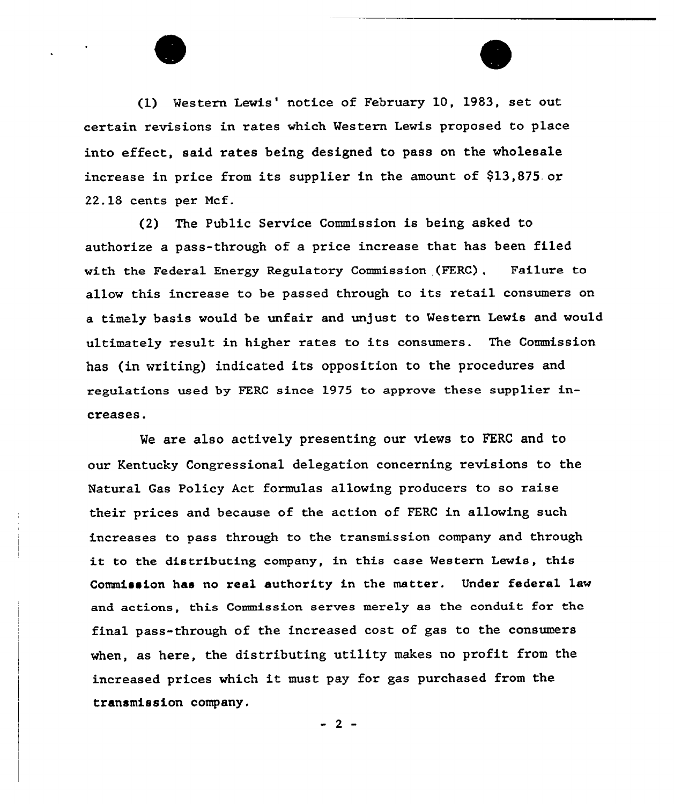

(2) The Public Service Commission is being asked to authorize a pass-through of a price increase that has been filed with the Federal Energy Regulatory Commission (FERC), Failure to allow this increase to be passed through to its retail consumers on a timely basis would be unfair and unjust to Western Lewis and would ultimately result in higher rates to its consumers. The Commission has (in writing) indicated its opposition to the procedures and xegulations used by FERC since 1975 to approve these supplier increases.

We are also actively presenting our views to FERC and to our Kentucky Congressional delegation concerning revisions to the Natural Gas Policy Act formulas allowing producers to so raise their prices and because of the action of FERC in allowing such increases to pass through to the transmission company and through it to the distributing company, in this case Western Lewis, this Commission has no real authority in the matter. Under federal law and actions, this Commission serves merely as the conduit for the final pass-through of the increased cost of gas to the consumers when, as here, the distributing utility makes no profit from the increased prices which it must pay for gas purchased from the transmission company.

 $-2 -$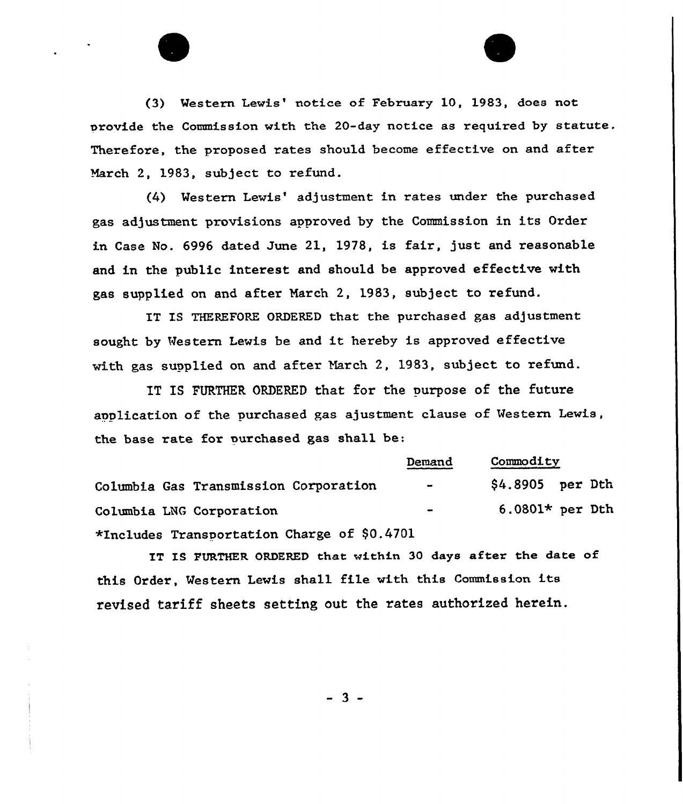(3) Western Lewis' notice of February 10, 1983, does not provide the Commission with the 20-day notice as required by statute. Therefoxe, the proposed rates should become effective on and after March 2, 1983, subject to refund.

(4) Western Lewis' adjustment in rates under the purchased gas adjustment provisions approved by the Commission in its Order in Case No. 6996 dated June 21, 1978, is fair, just and reasonable and in the public interest and should be approved effective with gas supplied on and after March 2, 1983, subject to refund.

IT IS THEREFORE ORDERED that the purchased gas adjustment sought by Western Lewis be and it hereby is approved effective with gas supplied on and after March 2, 1983, subject to refund.

IT IS FURTHER ORDERED that for the purpose of the future application of the purchased gas ajustment clause of Western Lewis, the base rate for purchased gas shall be:

| Columbia Gas Transmission Corporation       | Demand<br>$\sim$             | Commodity         |  |  |
|---------------------------------------------|------------------------------|-------------------|--|--|
|                                             |                              | $$4.8905$ per Dth |  |  |
| Columbia LNG Corporation                    | $\qquad \qquad \blacksquare$ | $6.0801*$ per Dth |  |  |
| *Includes Transportation Charge of \$0.4701 |                              |                   |  |  |

IT IS FURTHER ORDERED that within 30 days after the date of this Order, Western Lewis shall file with this Commission its revised tariff sheets setting out the rates authorized herein.

- 3 -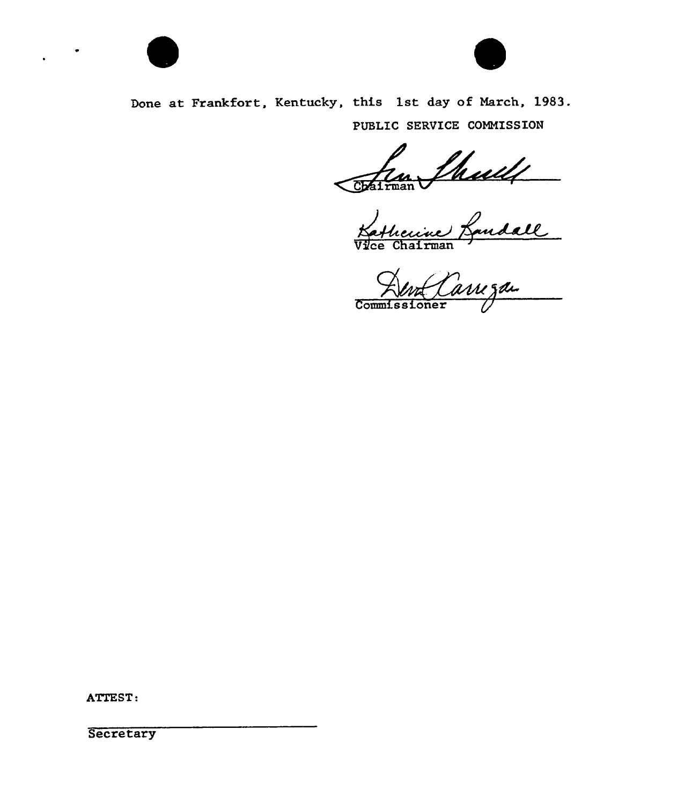

 $\ddot{\phantom{1}}$ 



Done at Frankfort, Kentucky, this 1st day of March, 1983. PUBLIC SERVICE COMMISSION

Fairmon Shull

Commiss .oner

ATTEST:

Secretary